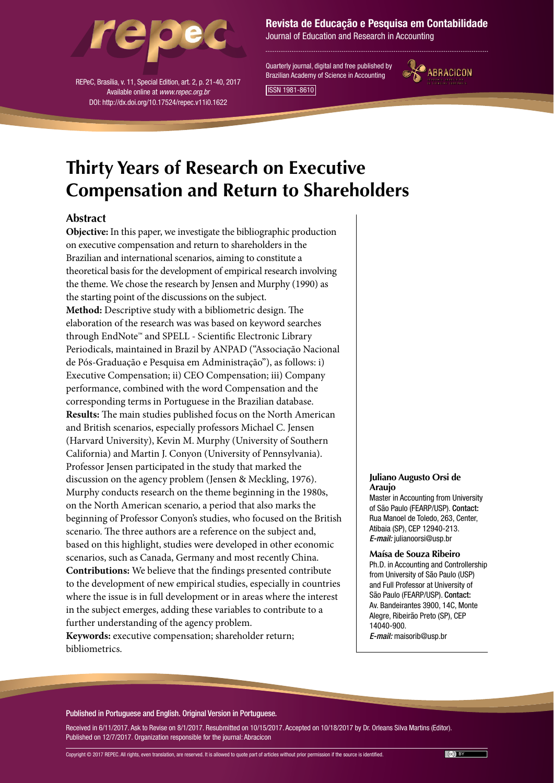

REPeC, Brasília, v. 11, Special Edition, art. 2, p. 21-40, 2017 Available online at *www.repec.org.br* DOI: http://dx.doi.org/10.17524/repec.v11i0.1622

# Revista de Educação e Pesquisa em Contabilidade

Journal of Education and Research in Accounting

Quarterly journal, digital and free published by Brazilian Academy of Science in Accounting



ISSN 1981-8610

# **Thirty Years of Research on Executive Compensation and Return to Shareholders**

# **Abstract**

**Objective:** In this paper, we investigate the bibliographic production on executive compensation and return to shareholders in the Brazilian and international scenarios, aiming to constitute a theoretical basis for the development of empirical research involving the theme. We chose the research by Jensen and Murphy (1990) as the starting point of the discussions on the subject. **Method:** Descriptive study with a bibliometric design. The elaboration of the research was was based on keyword searches through EndNote™ and SPELL - Scientific Electronic Library Periodicals, maintained in Brazil by ANPAD ("Associação Nacional de Pós-Graduação e Pesquisa em Administração"), as follows: i) Executive Compensation; ii) CEO Compensation; iii) Company performance, combined with the word Compensation and the corresponding terms in Portuguese in the Brazilian database. **Results:** The main studies published focus on the North American and British scenarios, especially professors Michael C. Jensen (Harvard University), Kevin M. Murphy (University of Southern California) and Martin J. Conyon (University of Pennsylvania). Professor Jensen participated in the study that marked the discussion on the agency problem (Jensen & Meckling, 1976). Murphy conducts research on the theme beginning in the 1980s, on the North American scenario, a period that also marks the beginning of Professor Conyon's studies, who focused on the British scenario. The three authors are a reference on the subject and, based on this highlight, studies were developed in other economic scenarios, such as Canada, Germany and most recently China. **Contributions:** We believe that the findings presented contribute to the development of new empirical studies, especially in countries where the issue is in full development or in areas where the interest in the subject emerges, adding these variables to contribute to a further understanding of the agency problem. **Keywords:** executive compensation; shareholder return; bibliometrics.

#### **Juliano Augusto Orsi de Araujo**

Master in Accounting from University of São Paulo (FEARP/USP). Contact: Rua Manoel de Toledo, 263, Center, Atibaia (SP), CEP 12940-213. *E-mail:* julianoorsi@usp.br

**Maísa de Souza Ribeiro** Ph.D. in Accounting and Controllership from University of São Paulo (USP) and Full Professor at University of São Paulo (FEARP/USP). Contact: Av. Bandeirantes 3900, 14C, Monte Alegre, Ribeirão Preto (SP), CEP 14040-900. *E-mail:* maisorib@usp.br

#### Published in Portuguese and English. Original Version in Portuguese.

Received in 6/11/2017. Ask to Revise on 8/1/2017. Resubmitted on 10/15/2017. Accepted on 10/18/2017 by Dr. Orleans Silva Martins (Editor). Published on 12/7/2017. Organization responsible for the journal: Abracicon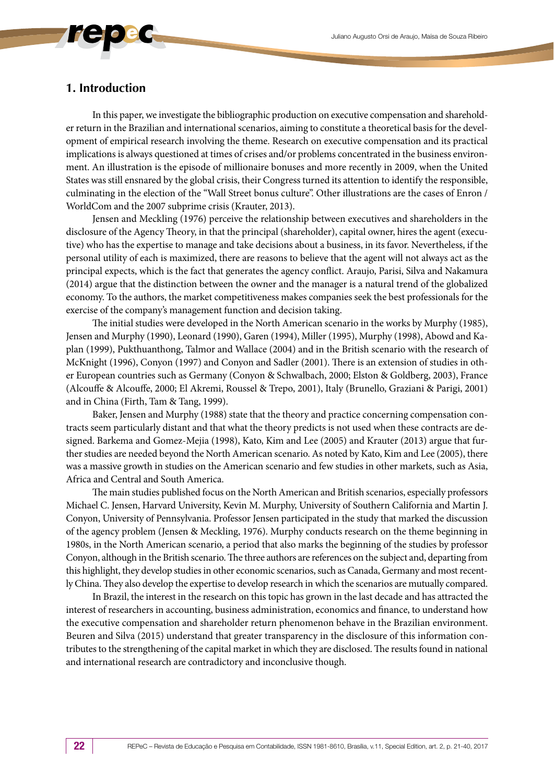# **1. Introduction**

In this paper, we investigate the bibliographic production on executive compensation and shareholder return in the Brazilian and international scenarios, aiming to constitute a theoretical basis for the development of empirical research involving the theme. Research on executive compensation and its practical implications is always questioned at times of crises and/or problems concentrated in the business environment. An illustration is the episode of millionaire bonuses and more recently in 2009, when the United States was still ensnared by the global crisis, their Congress turned its attention to identify the responsible, culminating in the election of the "Wall Street bonus culture". Other illustrations are the cases of Enron / WorldCom and the 2007 subprime crisis (Krauter, 2013).

Jensen and Meckling (1976) perceive the relationship between executives and shareholders in the disclosure of the Agency Theory, in that the principal (shareholder), capital owner, hires the agent (executive) who has the expertise to manage and take decisions about a business, in its favor. Nevertheless, if the personal utility of each is maximized, there are reasons to believe that the agent will not always act as the principal expects, which is the fact that generates the agency conflict. Araujo, Parisi, Silva and Nakamura (2014) argue that the distinction between the owner and the manager is a natural trend of the globalized economy. To the authors, the market competitiveness makes companies seek the best professionals for the exercise of the company's management function and decision taking.

The initial studies were developed in the North American scenario in the works by Murphy (1985), Jensen and Murphy (1990), Leonard (1990), Garen (1994), Miller (1995), Murphy (1998), Abowd and Kaplan (1999), Pukthuanthong, Talmor and Wallace (2004) and in the British scenario with the research of McKnight (1996), Conyon (1997) and Conyon and Sadler (2001). There is an extension of studies in other European countries such as Germany (Conyon & Schwalbach, 2000; Elston & Goldberg, 2003), France (Alcouffe & Alcouffe, 2000; El Akremi, Roussel & Trepo, 2001), Italy (Brunello, Graziani & Parigi, 2001) and in China (Firth, Tam & Tang, 1999).

Baker, Jensen and Murphy (1988) state that the theory and practice concerning compensation contracts seem particularly distant and that what the theory predicts is not used when these contracts are designed. Barkema and Gomez-Mejia (1998), Kato, Kim and Lee (2005) and Krauter (2013) argue that further studies are needed beyond the North American scenario. As noted by Kato, Kim and Lee (2005), there was a massive growth in studies on the American scenario and few studies in other markets, such as Asia, Africa and Central and South America.

The main studies published focus on the North American and British scenarios, especially professors Michael C. Jensen, Harvard University, Kevin M. Murphy, University of Southern California and Martin J. Conyon, University of Pennsylvania. Professor Jensen participated in the study that marked the discussion of the agency problem (Jensen & Meckling, 1976). Murphy conducts research on the theme beginning in 1980s, in the North American scenario, a period that also marks the beginning of the studies by professor Conyon, although in the British scenario. The three authors are references on the subject and, departing from this highlight, they develop studies in other economic scenarios, such as Canada, Germany and most recently China. They also develop the expertise to develop research in which the scenarios are mutually compared.

In Brazil, the interest in the research on this topic has grown in the last decade and has attracted the interest of researchers in accounting, business administration, economics and finance, to understand how the executive compensation and shareholder return phenomenon behave in the Brazilian environment. Beuren and Silva (2015) understand that greater transparency in the disclosure of this information contributes to the strengthening of the capital market in which they are disclosed. The results found in national and international research are contradictory and inconclusive though.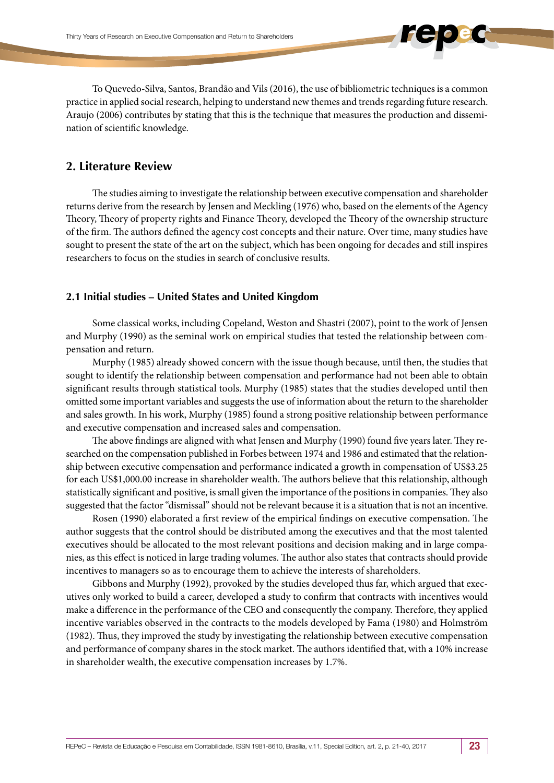To Quevedo-Silva, Santos, Brandão and Vils (2016), the use of bibliometric techniques is a common practice in applied social research, helping to understand new themes and trends regarding future research. Araujo (2006) contributes by stating that this is the technique that measures the production and dissemination of scientific knowledge.

# **2. Literature Review**

The studies aiming to investigate the relationship between executive compensation and shareholder returns derive from the research by Jensen and Meckling (1976) who, based on the elements of the Agency Theory, Theory of property rights and Finance Theory, developed the Theory of the ownership structure of the firm. The authors defined the agency cost concepts and their nature. Over time, many studies have sought to present the state of the art on the subject, which has been ongoing for decades and still inspires researchers to focus on the studies in search of conclusive results.

# **2.1 Initial studies – United States and United Kingdom**

Some classical works, including Copeland, Weston and Shastri (2007), point to the work of Jensen and Murphy (1990) as the seminal work on empirical studies that tested the relationship between compensation and return.

Murphy (1985) already showed concern with the issue though because, until then, the studies that sought to identify the relationship between compensation and performance had not been able to obtain significant results through statistical tools. Murphy (1985) states that the studies developed until then omitted some important variables and suggests the use of information about the return to the shareholder and sales growth. In his work, Murphy (1985) found a strong positive relationship between performance and executive compensation and increased sales and compensation.

The above findings are aligned with what Jensen and Murphy (1990) found five years later. They researched on the compensation published in Forbes between 1974 and 1986 and estimated that the relationship between executive compensation and performance indicated a growth in compensation of US\$3.25 for each US\$1,000.00 increase in shareholder wealth. The authors believe that this relationship, although statistically significant and positive, is small given the importance of the positions in companies. They also suggested that the factor "dismissal" should not be relevant because it is a situation that is not an incentive.

Rosen (1990) elaborated a first review of the empirical findings on executive compensation. The author suggests that the control should be distributed among the executives and that the most talented executives should be allocated to the most relevant positions and decision making and in large companies, as this effect is noticed in large trading volumes. The author also states that contracts should provide incentives to managers so as to encourage them to achieve the interests of shareholders.

Gibbons and Murphy (1992), provoked by the studies developed thus far, which argued that executives only worked to build a career, developed a study to confirm that contracts with incentives would make a difference in the performance of the CEO and consequently the company. Therefore, they applied incentive variables observed in the contracts to the models developed by Fama (1980) and Holmström (1982). Thus, they improved the study by investigating the relationship between executive compensation and performance of company shares in the stock market. The authors identified that, with a 10% increase in shareholder wealth, the executive compensation increases by 1.7%.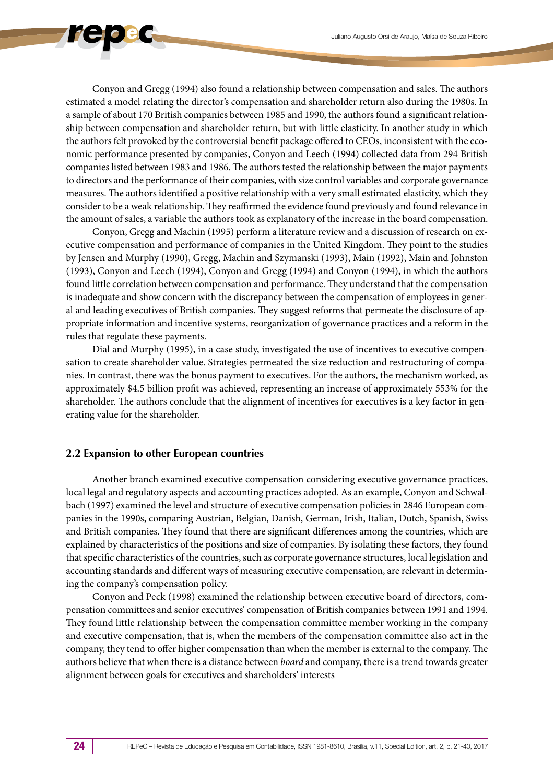Conyon and Gregg (1994) also found a relationship between compensation and sales. The authors estimated a model relating the director's compensation and shareholder return also during the 1980s. In a sample of about 170 British companies between 1985 and 1990, the authors found a significant relationship between compensation and shareholder return, but with little elasticity. In another study in which the authors felt provoked by the controversial benefit package offered to CEOs, inconsistent with the economic performance presented by companies, Conyon and Leech (1994) collected data from 294 British companies listed between 1983 and 1986. The authors tested the relationship between the major payments to directors and the performance of their companies, with size control variables and corporate governance measures. The authors identified a positive relationship with a very small estimated elasticity, which they consider to be a weak relationship. They reaffirmed the evidence found previously and found relevance in the amount of sales, a variable the authors took as explanatory of the increase in the board compensation.

Conyon, Gregg and Machin (1995) perform a literature review and a discussion of research on executive compensation and performance of companies in the United Kingdom. They point to the studies by Jensen and Murphy (1990), Gregg, Machin and Szymanski (1993), Main (1992), Main and Johnston (1993), Conyon and Leech (1994), Conyon and Gregg (1994) and Conyon (1994), in which the authors found little correlation between compensation and performance. They understand that the compensation is inadequate and show concern with the discrepancy between the compensation of employees in general and leading executives of British companies. They suggest reforms that permeate the disclosure of appropriate information and incentive systems, reorganization of governance practices and a reform in the rules that regulate these payments.

Dial and Murphy (1995), in a case study, investigated the use of incentives to executive compensation to create shareholder value. Strategies permeated the size reduction and restructuring of companies. In contrast, there was the bonus payment to executives. For the authors, the mechanism worked, as approximately \$4.5 billion profit was achieved, representing an increase of approximately 553% for the shareholder. The authors conclude that the alignment of incentives for executives is a key factor in generating value for the shareholder.

#### **2.2 Expansion to other European countries**

Another branch examined executive compensation considering executive governance practices, local legal and regulatory aspects and accounting practices adopted. As an example, Conyon and Schwalbach (1997) examined the level and structure of executive compensation policies in 2846 European companies in the 1990s, comparing Austrian, Belgian, Danish, German, Irish, Italian, Dutch, Spanish, Swiss and British companies. They found that there are significant differences among the countries, which are explained by characteristics of the positions and size of companies. By isolating these factors, they found that specific characteristics of the countries, such as corporate governance structures, local legislation and accounting standards and different ways of measuring executive compensation, are relevant in determining the company's compensation policy.

Conyon and Peck (1998) examined the relationship between executive board of directors, compensation committees and senior executives' compensation of British companies between 1991 and 1994. They found little relationship between the compensation committee member working in the company and executive compensation, that is, when the members of the compensation committee also act in the company, they tend to offer higher compensation than when the member is external to the company. The authors believe that when there is a distance between *board* and company, there is a trend towards greater alignment between goals for executives and shareholders' interests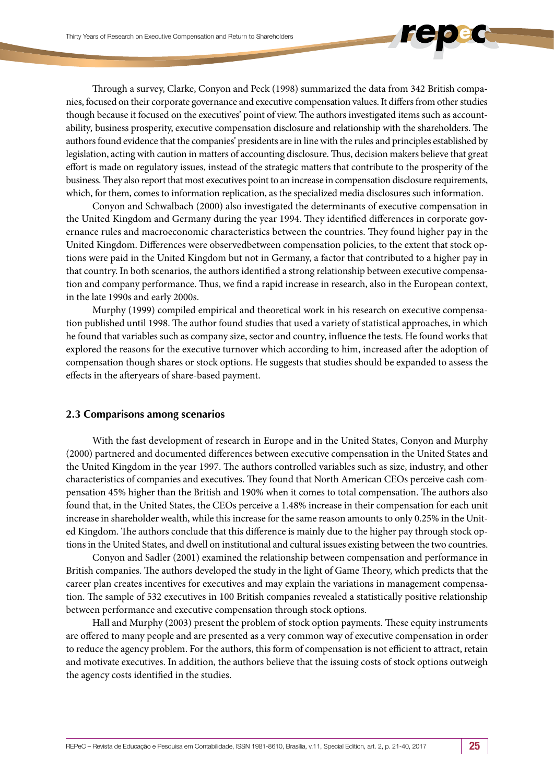Through a survey, Clarke, Conyon and Peck (1998) summarized the data from 342 British companies, focused on their corporate governance and executive compensation values. It differs from other studies though because it focused on the executives' point of view. The authors investigated items such as accountability*,* business prosperity, executive compensation disclosure and relationship with the shareholders. The authors found evidence that the companies' presidents are in line with the rules and principles established by legislation, acting with caution in matters of accounting disclosure. Thus, decision makers believe that great effort is made on regulatory issues, instead of the strategic matters that contribute to the prosperity of the business. They also report that most executives point to an increase in compensation disclosure requirements, which, for them, comes to information replication, as the specialized media disclosures such information.

Conyon and Schwalbach (2000) also investigated the determinants of executive compensation in the United Kingdom and Germany during the year 1994. They identified differences in corporate governance rules and macroeconomic characteristics between the countries. They found higher pay in the United Kingdom. Differences were observedbetween compensation policies, to the extent that stock options were paid in the United Kingdom but not in Germany, a factor that contributed to a higher pay in that country. In both scenarios, the authors identified a strong relationship between executive compensation and company performance. Thus, we find a rapid increase in research, also in the European context, in the late 1990s and early 2000s.

Murphy (1999) compiled empirical and theoretical work in his research on executive compensation published until 1998. The author found studies that used a variety of statistical approaches, in which he found that variables such as company size, sector and country, influence the tests. He found works that explored the reasons for the executive turnover which according to him, increased after the adoption of compensation though shares or stock options. He suggests that studies should be expanded to assess the effects in the afteryears of share-based payment.

#### **2.3 Comparisons among scenarios**

With the fast development of research in Europe and in the United States, Conyon and Murphy (2000) partnered and documented differences between executive compensation in the United States and the United Kingdom in the year 1997. The authors controlled variables such as size, industry, and other characteristics of companies and executives. They found that North American CEOs perceive cash compensation 45% higher than the British and 190% when it comes to total compensation. The authors also found that, in the United States, the CEOs perceive a 1.48% increase in their compensation for each unit increase in shareholder wealth, while this increase for the same reason amounts to only 0.25% in the United Kingdom. The authors conclude that this difference is mainly due to the higher pay through stock options in the United States, and dwell on institutional and cultural issues existing between the two countries.

Conyon and Sadler (2001) examined the relationship between compensation and performance in British companies. The authors developed the study in the light of Game Theory, which predicts that the career plan creates incentives for executives and may explain the variations in management compensation. The sample of 532 executives in 100 British companies revealed a statistically positive relationship between performance and executive compensation through stock options.

Hall and Murphy (2003) present the problem of stock option payments. These equity instruments are offered to many people and are presented as a very common way of executive compensation in order to reduce the agency problem. For the authors, this form of compensation is not efficient to attract, retain and motivate executives. In addition, the authors believe that the issuing costs of stock options outweigh the agency costs identified in the studies.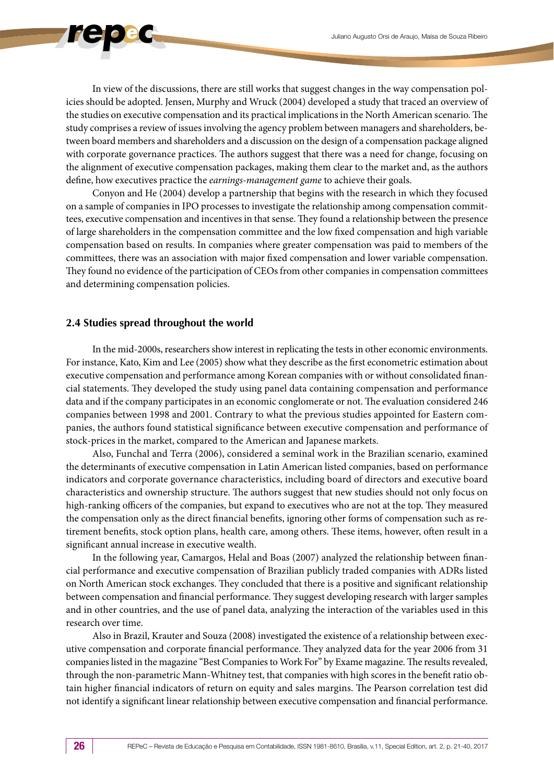In view of the discussions, there are still works that suggest changes in the way compensation policies should be adopted. Jensen, Murphy and Wruck (2004) developed a study that traced an overview of the studies on executive compensation and its practical implications in the North American scenario. The study comprises a review of issues involving the agency problem between managers and shareholders, between board members and shareholders and a discussion on the design of a compensation package aligned with corporate governance practices. The authors suggest that there was a need for change, focusing on the alignment of executive compensation packages, making them clear to the market and, as the authors define, how executives practice the *earnings-management game* to achieve their goals.

Conyon and He (2004) develop a partnership that begins with the research in which they focused on a sample of companies in IPO processes to investigate the relationship among compensation committees, executive compensation and incentives in that sense. They found a relationship between the presence of large shareholders in the compensation committee and the low fixed compensation and high variable compensation based on results. In companies where greater compensation was paid to members of the committees, there was an association with major fixed compensation and lower variable compensation. They found no evidence of the participation of CEOs from other companies in compensation committees and determining compensation policies.

### **2.4 Studies spread throughout the world**

In the mid-2000s, researchers show interest in replicating the tests in other economic environments. For instance, Kato, Kim and Lee (2005) show what they describe as the first econometric estimation about executive compensation and performance among Korean companies with or without consolidated financial statements. They developed the study using panel data containing compensation and performance data and if the company participates in an economic conglomerate or not. The evaluation considered 246 companies between 1998 and 2001. Contrary to what the previous studies appointed for Eastern companies, the authors found statistical significance between executive compensation and performance of stock-prices in the market, compared to the American and Japanese markets.

Also, Funchal and Terra (2006), considered a seminal work in the Brazilian scenario, examined the determinants of executive compensation in Latin American listed companies, based on performance indicators and corporate governance characteristics, including board of directors and executive board characteristics and ownership structure. The authors suggest that new studies should not only focus on high-ranking officers of the companies, but expand to executives who are not at the top. They measured the compensation only as the direct financial benefits, ignoring other forms of compensation such as retirement benefits, stock option plans, health care, among others. These items, however, often result in a significant annual increase in executive wealth.

In the following year, Camargos, Helal and Boas (2007) analyzed the relationship between financial performance and executive compensation of Brazilian publicly traded companies with ADRs listed on North American stock exchanges. They concluded that there is a positive and significant relationship between compensation and financial performance. They suggest developing research with larger samples and in other countries, and the use of panel data, analyzing the interaction of the variables used in this research over time.

Also in Brazil, Krauter and Souza (2008) investigated the existence of a relationship between executive compensation and corporate financial performance. They analyzed data for the year 2006 from 31 companies listed in the magazine "Best Companies to Work For" by Exame magazine. The results revealed, through the non-parametric Mann-Whitney test, that companies with high scores in the benefit ratio obtain higher financial indicators of return on equity and sales margins. The Pearson correlation test did not identify a significant linear relationship between executive compensation and financial performance.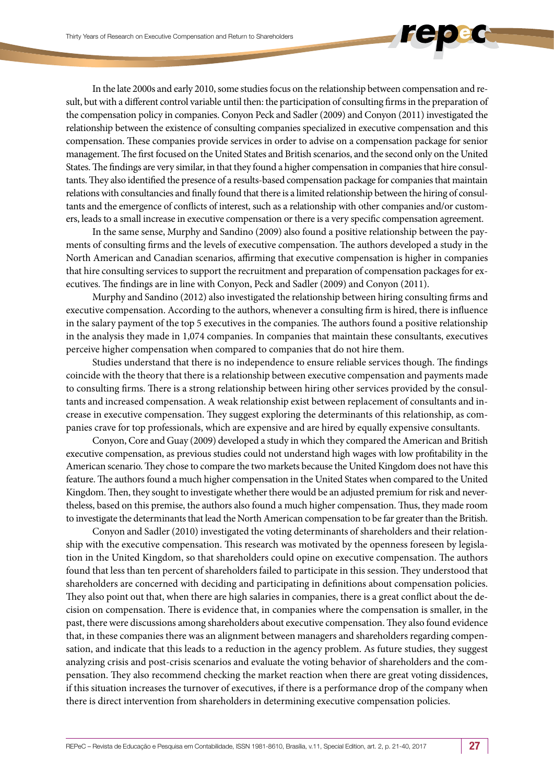In the late 2000s and early 2010, some studies focus on the relationship between compensation and result, but with a different control variable until then: the participation of consulting firms in the preparation of the compensation policy in companies. Conyon Peck and Sadler (2009) and Conyon (2011) investigated the relationship between the existence of consulting companies specialized in executive compensation and this compensation. These companies provide services in order to advise on a compensation package for senior management. The first focused on the United States and British scenarios, and the second only on the United States. The findings are very similar, in that they found a higher compensation in companies that hire consultants. They also identified the presence of a results-based compensation package for companies that maintain relations with consultancies and finally found that there is a limited relationship between the hiring of consultants and the emergence of conflicts of interest, such as a relationship with other companies and/or customers, leads to a small increase in executive compensation or there is a very specific compensation agreement.

In the same sense, Murphy and Sandino (2009) also found a positive relationship between the payments of consulting firms and the levels of executive compensation. The authors developed a study in the North American and Canadian scenarios, affirming that executive compensation is higher in companies that hire consulting services to support the recruitment and preparation of compensation packages for executives. The findings are in line with Conyon, Peck and Sadler (2009) and Conyon (2011).

Murphy and Sandino (2012) also investigated the relationship between hiring consulting firms and executive compensation. According to the authors, whenever a consulting firm is hired, there is influence in the salary payment of the top 5 executives in the companies. The authors found a positive relationship in the analysis they made in 1,074 companies. In companies that maintain these consultants, executives perceive higher compensation when compared to companies that do not hire them.

Studies understand that there is no independence to ensure reliable services though. The findings coincide with the theory that there is a relationship between executive compensation and payments made to consulting firms. There is a strong relationship between hiring other services provided by the consultants and increased compensation. A weak relationship exist between replacement of consultants and increase in executive compensation. They suggest exploring the determinants of this relationship, as companies crave for top professionals, which are expensive and are hired by equally expensive consultants.

Conyon, Core and Guay (2009) developed a study in which they compared the American and British executive compensation, as previous studies could not understand high wages with low profitability in the American scenario. They chose to compare the two markets because the United Kingdom does not have this feature. The authors found a much higher compensation in the United States when compared to the United Kingdom. Then, they sought to investigate whether there would be an adjusted premium for risk and nevertheless, based on this premise, the authors also found a much higher compensation. Thus, they made room to investigate the determinants that lead the North American compensation to be far greater than the British.

Conyon and Sadler (2010) investigated the voting determinants of shareholders and their relationship with the executive compensation. This research was motivated by the openness foreseen by legislation in the United Kingdom, so that shareholders could opine on executive compensation. The authors found that less than ten percent of shareholders failed to participate in this session. They understood that shareholders are concerned with deciding and participating in definitions about compensation policies. They also point out that, when there are high salaries in companies, there is a great conflict about the decision on compensation. There is evidence that, in companies where the compensation is smaller, in the past, there were discussions among shareholders about executive compensation. They also found evidence that, in these companies there was an alignment between managers and shareholders regarding compensation, and indicate that this leads to a reduction in the agency problem. As future studies, they suggest analyzing crisis and post-crisis scenarios and evaluate the voting behavior of shareholders and the compensation. They also recommend checking the market reaction when there are great voting dissidences, if this situation increases the turnover of executives, if there is a performance drop of the company when there is direct intervention from shareholders in determining executive compensation policies.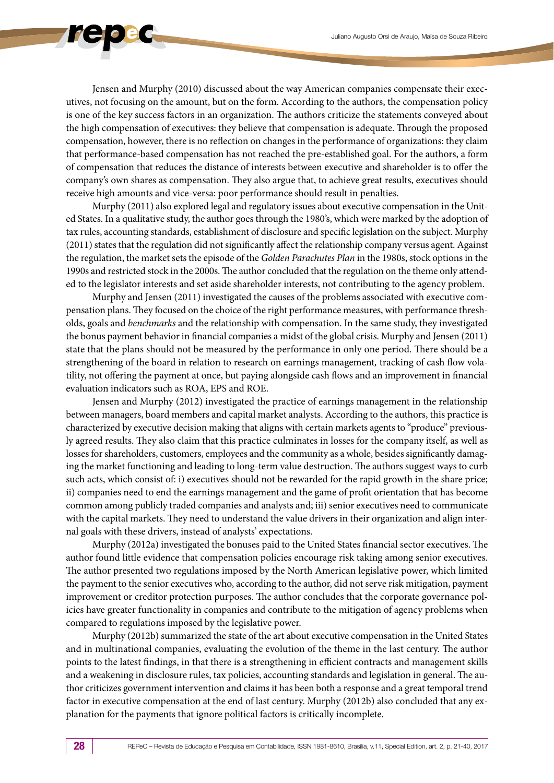Jensen and Murphy (2010) discussed about the way American companies compensate their executives, not focusing on the amount, but on the form. According to the authors, the compensation policy is one of the key success factors in an organization. The authors criticize the statements conveyed about the high compensation of executives: they believe that compensation is adequate. Through the proposed compensation, however, there is no reflection on changes in the performance of organizations: they claim that performance-based compensation has not reached the pre-established goal. For the authors, a form of compensation that reduces the distance of interests between executive and shareholder is to offer the company's own shares as compensation. They also argue that, to achieve great results, executives should receive high amounts and vice-versa: poor performance should result in penalties.

Murphy (2011) also explored legal and regulatory issues about executive compensation in the United States. In a qualitative study, the author goes through the 1980's, which were marked by the adoption of tax rules, accounting standards, establishment of disclosure and specific legislation on the subject. Murphy (2011) states that the regulation did not significantly affect the relationship company versus agent. Against the regulation, the market sets the episode of the *Golden Parachutes Plan* in the 1980s, stock options in the 1990s and restricted stock in the 2000s. The author concluded that the regulation on the theme only attended to the legislator interests and set aside shareholder interests, not contributing to the agency problem.

Murphy and Jensen (2011) investigated the causes of the problems associated with executive compensation plans. They focused on the choice of the right performance measures, with performance thresholds, goals and *benchmarks* and the relationship with compensation. In the same study, they investigated the bonus payment behavior in financial companies a midst of the global crisis. Murphy and Jensen (2011) state that the plans should not be measured by the performance in only one period. There should be a strengthening of the board in relation to research on earnings management*,* tracking of cash flow volatility, not offering the payment at once, but paying alongside cash flows and an improvement in financial evaluation indicators such as ROA, EPS and ROE.

Jensen and Murphy (2012) investigated the practice of earnings management in the relationship between managers, board members and capital market analysts. According to the authors, this practice is characterized by executive decision making that aligns with certain markets agents to "produce" previously agreed results. They also claim that this practice culminates in losses for the company itself, as well as losses for shareholders, customers, employees and the community as a whole, besides significantly damaging the market functioning and leading to long-term value destruction. The authors suggest ways to curb such acts, which consist of: i) executives should not be rewarded for the rapid growth in the share price; ii) companies need to end the earnings management and the game of profit orientation that has become common among publicly traded companies and analysts and; iii) senior executives need to communicate with the capital markets. They need to understand the value drivers in their organization and align internal goals with these drivers, instead of analysts' expectations.

Murphy (2012a) investigated the bonuses paid to the United States financial sector executives. The author found little evidence that compensation policies encourage risk taking among senior executives. The author presented two regulations imposed by the North American legislative power, which limited the payment to the senior executives who, according to the author, did not serve risk mitigation, payment improvement or creditor protection purposes. The author concludes that the corporate governance policies have greater functionality in companies and contribute to the mitigation of agency problems when compared to regulations imposed by the legislative power.

Murphy (2012b) summarized the state of the art about executive compensation in the United States and in multinational companies, evaluating the evolution of the theme in the last century. The author points to the latest findings, in that there is a strengthening in efficient contracts and management skills and a weakening in disclosure rules, tax policies, accounting standards and legislation in general. The author criticizes government intervention and claims it has been both a response and a great temporal trend factor in executive compensation at the end of last century. Murphy (2012b) also concluded that any explanation for the payments that ignore political factors is critically incomplete.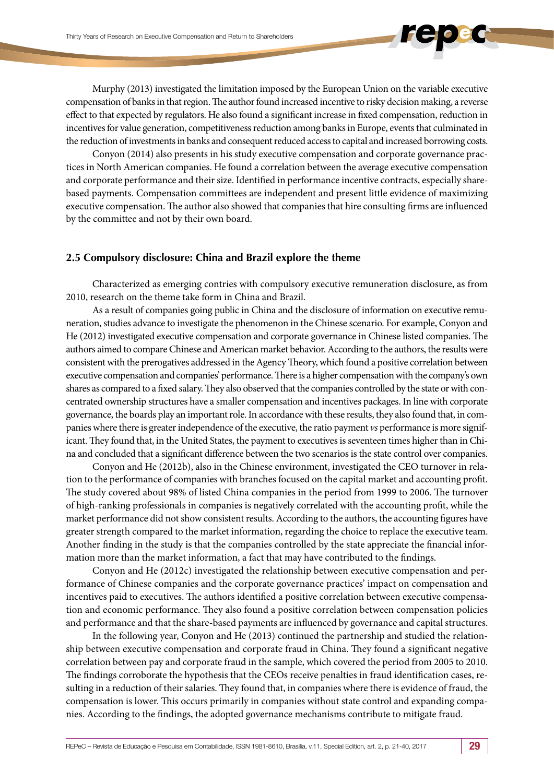Murphy (2013) investigated the limitation imposed by the European Union on the variable executive compensation of banks in that region. The author found increased incentive to risky decision making, a reverse effect to that expected by regulators. He also found a significant increase in fixed compensation, reduction in incentives for value generation, competitiveness reduction among banks in Europe, events that culminated in the reduction of investments in banks and consequent reduced access to capital and increased borrowing costs.

Conyon (2014) also presents in his study executive compensation and corporate governance practices in North American companies. He found a correlation between the average executive compensation and corporate performance and their size. Identified in performance incentive contracts, especially sharebased payments. Compensation committees are independent and present little evidence of maximizing executive compensation. The author also showed that companies that hire consulting firms are influenced by the committee and not by their own board.

#### **2.5 Compulsory disclosure: China and Brazil explore the theme**

Characterized as emerging contries with compulsory executive remuneration disclosure, as from 2010, research on the theme take form in China and Brazil.

As a result of companies going public in China and the disclosure of information on executive remuneration, studies advance to investigate the phenomenon in the Chinese scenario. For example, Conyon and He (2012) investigated executive compensation and corporate governance in Chinese listed companies. The authors aimed to compare Chinese and American market behavior. According to the authors, the results were consistent with the prerogatives addressed in the Agency Theory, which found a positive correlation between executive compensation and companies' performance. There is a higher compensation with the company's own shares as compared to a fixed salary. They also observed that the companies controlled by the state or with concentrated ownership structures have a smaller compensation and incentives packages. In line with corporate governance, the boards play an important role. In accordance with these results, they also found that, in companies where there is greater independence of the executive, the ratio payment *vs* performance is more significant. They found that, in the United States, the payment to executives is seventeen times higher than in China and concluded that a significant difference between the two scenarios is the state control over companies.

Conyon and He (2012b), also in the Chinese environment, investigated the CEO turnover in relation to the performance of companies with branches focused on the capital market and accounting profit. The study covered about 98% of listed China companies in the period from 1999 to 2006. The turnover of high-ranking professionals in companies is negatively correlated with the accounting profit, while the market performance did not show consistent results. According to the authors, the accounting figures have greater strength compared to the market information, regarding the choice to replace the executive team. Another finding in the study is that the companies controlled by the state appreciate the financial information more than the market information, a fact that may have contributed to the findings.

Conyon and He (2012c) investigated the relationship between executive compensation and performance of Chinese companies and the corporate governance practices' impact on compensation and incentives paid to executives. The authors identified a positive correlation between executive compensation and economic performance. They also found a positive correlation between compensation policies and performance and that the share-based payments are influenced by governance and capital structures.

In the following year, Conyon and He (2013) continued the partnership and studied the relationship between executive compensation and corporate fraud in China. They found a significant negative correlation between pay and corporate fraud in the sample, which covered the period from 2005 to 2010. The findings corroborate the hypothesis that the CEOs receive penalties in fraud identification cases, resulting in a reduction of their salaries. They found that, in companies where there is evidence of fraud, the compensation is lower. This occurs primarily in companies without state control and expanding companies. According to the findings, the adopted governance mechanisms contribute to mitigate fraud.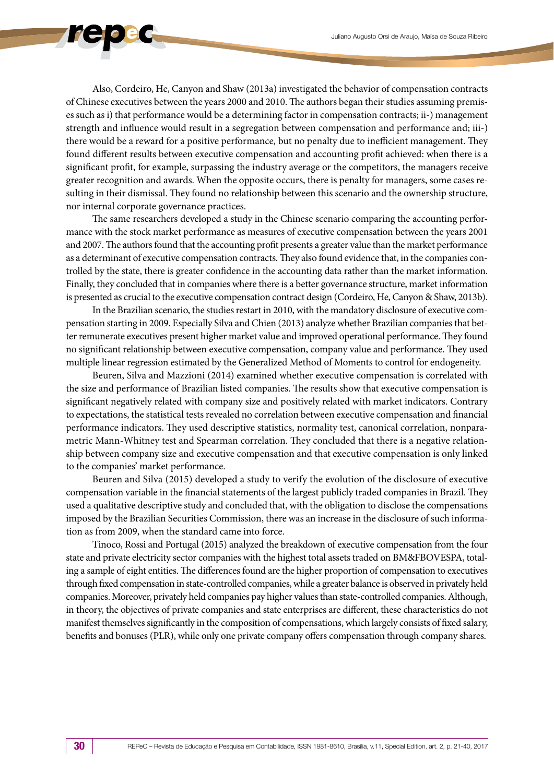Also, Cordeiro, He, Canyon and Shaw (2013a) investigated the behavior of compensation contracts of Chinese executives between the years 2000 and 2010. The authors began their studies assuming premises such as i) that performance would be a determining factor in compensation contracts; ii-) management strength and influence would result in a segregation between compensation and performance and; iii-) there would be a reward for a positive performance*,* but no penalty due to inefficient management. They found different results between executive compensation and accounting profit achieved: when there is a significant profit, for example, surpassing the industry average or the competitors, the managers receive greater recognition and awards. When the opposite occurs, there is penalty for managers, some cases resulting in their dismissal. They found no relationship between this scenario and the ownership structure, nor internal corporate governance practices.

The same researchers developed a study in the Chinese scenario comparing the accounting performance with the stock market performance as measures of executive compensation between the years 2001 and 2007. The authors found that the accounting profit presents a greater value than the market performance as a determinant of executive compensation contracts. They also found evidence that, in the companies controlled by the state, there is greater confidence in the accounting data rather than the market information. Finally, they concluded that in companies where there is a better governance structure, market information is presented as crucial to the executive compensation contract design (Cordeiro, He, Canyon & Shaw, 2013b).

In the Brazilian scenario, the studies restart in 2010, with the mandatory disclosure of executive compensation starting in 2009. Especially Silva and Chien (2013) analyze whether Brazilian companies that better remunerate executives present higher market value and improved operational performance. They found no significant relationship between executive compensation, company value and performance. They used multiple linear regression estimated by the Generalized Method of Moments to control for endogeneity.

Beuren, Silva and Mazzioni (2014) examined whether executive compensation is correlated with the size and performance of Brazilian listed companies. The results show that executive compensation is significant negatively related with company size and positively related with market indicators. Contrary to expectations, the statistical tests revealed no correlation between executive compensation and financial performance indicators. They used descriptive statistics, normality test, canonical correlation, nonparametric Mann-Whitney test and Spearman correlation. They concluded that there is a negative relationship between company size and executive compensation and that executive compensation is only linked to the companies' market performance.

Beuren and Silva (2015) developed a study to verify the evolution of the disclosure of executive compensation variable in the financial statements of the largest publicly traded companies in Brazil. They used a qualitative descriptive study and concluded that, with the obligation to disclose the compensations imposed by the Brazilian Securities Commission, there was an increase in the disclosure of such information as from 2009, when the standard came into force.

Tinoco, Rossi and Portugal (2015) analyzed the breakdown of executive compensation from the four state and private electricity sector companies with the highest total assets traded on BM&FBOVESPA, totaling a sample of eight entities. The differences found are the higher proportion of compensation to executives through fixed compensation in state-controlled companies, while a greater balance is observed in privately held companies. Moreover, privately held companies pay higher values than state-controlled companies. Although, in theory, the objectives of private companies and state enterprises are different, these characteristics do not manifest themselves significantly in the composition of compensations, which largely consists of fixed salary, benefits and bonuses (PLR), while only one private company offers compensation through company shares.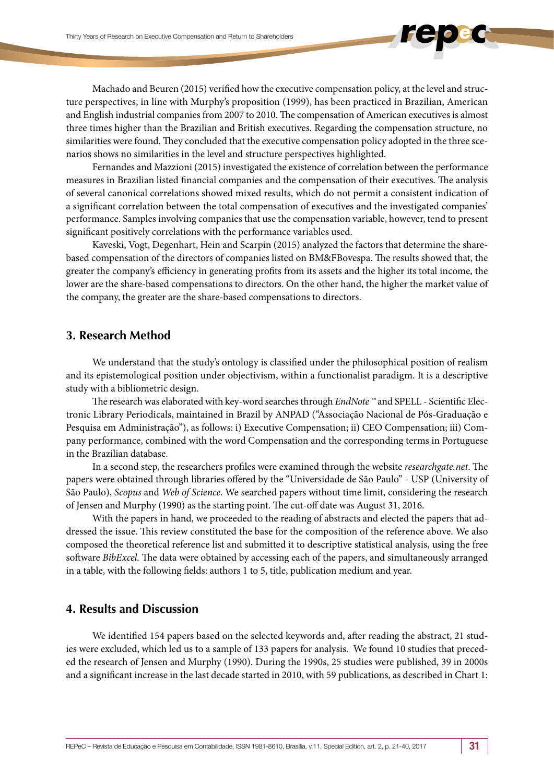Machado and Beuren (2015) verified how the executive compensation policy, at the level and structure perspectives, in line with Murphy's proposition (1999), has been practiced in Brazilian, American and English industrial companies from 2007 to 2010. The compensation of American executives is almost three times higher than the Brazilian and British executives. Regarding the compensation structure, no similarities were found. They concluded that the executive compensation policy adopted in the three scenarios shows no similarities in the level and structure perspectives highlighted.

Fernandes and Mazzioni (2015) investigated the existence of correlation between the performance measures in Brazilian listed financial companies and the compensation of their executives. The analysis of several canonical correlations showed mixed results, which do not permit a consistent indication of a significant correlation between the total compensation of executives and the investigated companies' performance. Samples involving companies that use the compensation variable, however, tend to present significant positively correlations with the performance variables used.

Kaveski, Vogt, Degenhart, Hein and Scarpin (2015) analyzed the factors that determine the sharebased compensation of the directors of companies listed on BM&FBovespa. The results showed that, the greater the company's efficiency in generating profits from its assets and the higher its total income, the lower are the share-based compensations to directors. On the other hand, the higher the market value of the company, the greater are the share-based compensations to directors.

# **3. Research Method**

We understand that the study's ontology is classified under the philosophical position of realism and its epistemological position under objectivism, within a functionalist paradigm. It is a descriptive study with a bibliometric design.

The research was elaborated with key-word searches through *EndNote ™* and SPELL - Scientific Electronic Library Periodicals, maintained in Brazil by ANPAD ("Associação Nacional de Pós-Graduação e Pesquisa em Administração"), as follows: i) Executive Compensation; ii) CEO Compensation; iii) Company performance, combined with the word Compensation and the corresponding terms in Portuguese in the Brazilian database.

In a second step, the researchers profiles were examined through the website *researchgate.net*. The papers were obtained through libraries offered by the "Universidade de São Paulo" - USP (University of São Paulo), *Scopus* and *Web of Science.* We searched papers without time limit, considering the research of Jensen and Murphy (1990) as the starting point. The cut-off date was August 31, 2016.

With the papers in hand, we proceeded to the reading of abstracts and elected the papers that addressed the issue. This review constituted the base for the composition of the reference above. We also composed the theoretical reference list and submitted it to descriptive statistical analysis, using the free software *BibExcel.* The data were obtained by accessing each of the papers, and simultaneously arranged in a table, with the following fields: authors 1 to 5, title, publication medium and year.

# **4. Results and Discussion**

We identified 154 papers based on the selected keywords and, after reading the abstract, 21 studies were excluded, which led us to a sample of 133 papers for analysis. We found 10 studies that preceded the research of Jensen and Murphy (1990). During the 1990s, 25 studies were published, 39 in 2000s and a significant increase in the last decade started in 2010, with 59 publications, as described in Chart 1: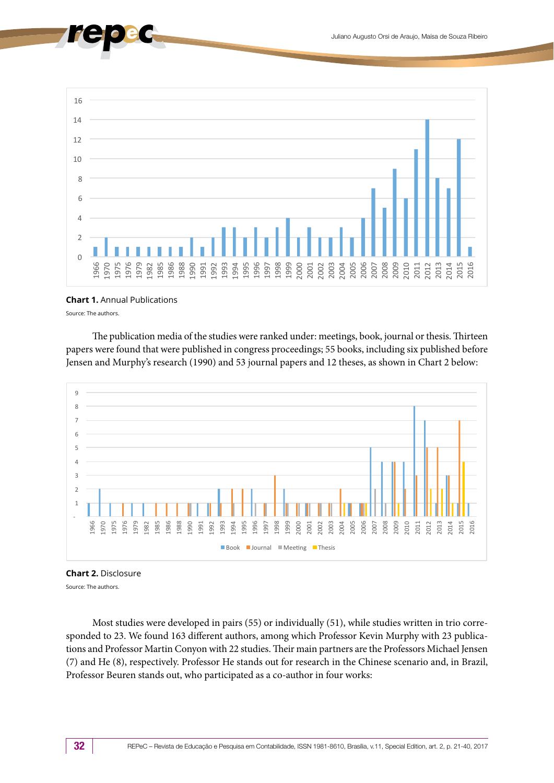

#### **Chart 1.** Annual Publications

Source: The authors.

The publication media of the studies were ranked under: meetings, book, journal or thesis. Thirteen papers were found that were published in congress proceedings; 55 books, including six published before Jensen and Murphy's research (1990) and 53 journal papers and 12 theses, as shown in Chart 2 below:





Source: The authors.

Most studies were developed in pairs (55) or individually (51), while studies written in trio corresponded to 23. We found 163 different authors, among which Professor Kevin Murphy with 23 publications and Professor Martin Conyon with 22 studies. Their main partners are the Professors Michael Jensen (7) and He (8), respectively. Professor He stands out for research in the Chinese scenario and, in Brazil, Professor Beuren stands out, who participated as a co-author in four works: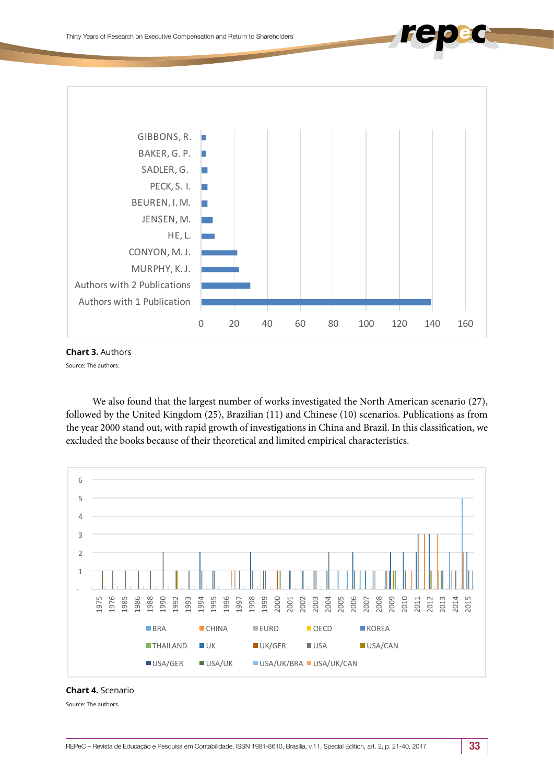

**Chart 3.** Authors

Source: The authors.

We also found that the largest number of works investigated the North American scenario (27), followed by the United Kingdom (25), Brazilian (11) and Chinese (10) scenarios. Publications as from the year 2000 stand out, with rapid growth of investigations in China and Brazil. In this classification, we excluded the books because of their theoretical and limited empirical characteristics.



**Chart 4.** Scenario

Source: The authors.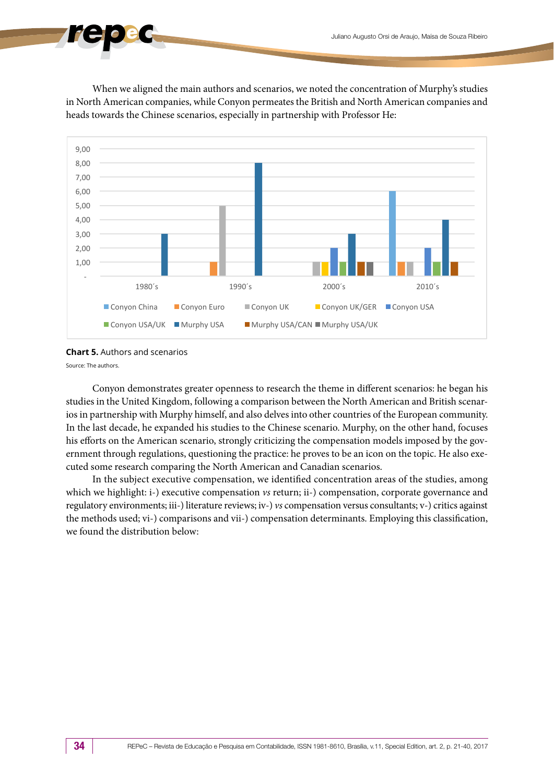When we aligned the main authors and scenarios, we noted the concentration of Murphy's studies in North American companies, while Conyon permeates the British and North American companies and heads towards the Chinese scenarios, especially in partnership with Professor He:



**Chart 5.** Authors and scenarios

Source: The authors.

Conyon demonstrates greater openness to research the theme in different scenarios: he began his studies in the United Kingdom, following a comparison between the North American and British scenarios in partnership with Murphy himself, and also delves into other countries of the European community. In the last decade, he expanded his studies to the Chinese scenario. Murphy, on the other hand, focuses his efforts on the American scenario, strongly criticizing the compensation models imposed by the government through regulations, questioning the practice: he proves to be an icon on the topic. He also executed some research comparing the North American and Canadian scenarios.

In the subject executive compensation, we identified concentration areas of the studies, among which we highlight: i-) executive compensation *vs* return; ii-) compensation, corporate governance and regulatory environments; iii-) literature reviews; iv-) *vs* compensation versus consultants; v-) critics against the methods used; vi-) comparisons and vii-) compensation determinants. Employing this classification, we found the distribution below: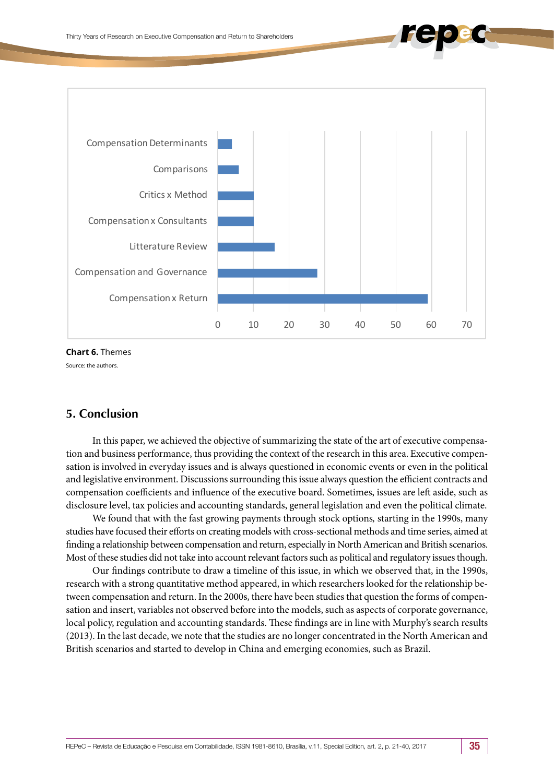

**Chart 6.** Themes

Source: the authors.

# **5. Conclusion**

In this paper, we achieved the objective of summarizing the state of the art of executive compensation and business performance, thus providing the context of the research in this area. Executive compensation is involved in everyday issues and is always questioned in economic events or even in the political and legislative environment. Discussions surrounding this issue always question the efficient contracts and compensation coefficients and influence of the executive board. Sometimes, issues are left aside, such as disclosure level, tax policies and accounting standards, general legislation and even the political climate.

We found that with the fast growing payments through stock options*,* starting in the 1990s, many studies have focused their efforts on creating models with cross-sectional methods and time series, aimed at finding a relationship between compensation and return, especially in North American and British scenarios. Most of these studies did not take into account relevant factors such as political and regulatory issues though.

Our findings contribute to draw a timeline of this issue, in which we observed that, in the 1990s, research with a strong quantitative method appeared, in which researchers looked for the relationship between compensation and return. In the 2000s, there have been studies that question the forms of compensation and insert, variables not observed before into the models, such as aspects of corporate governance, local policy, regulation and accounting standards. These findings are in line with Murphy's search results (2013). In the last decade, we note that the studies are no longer concentrated in the North American and British scenarios and started to develop in China and emerging economies, such as Brazil.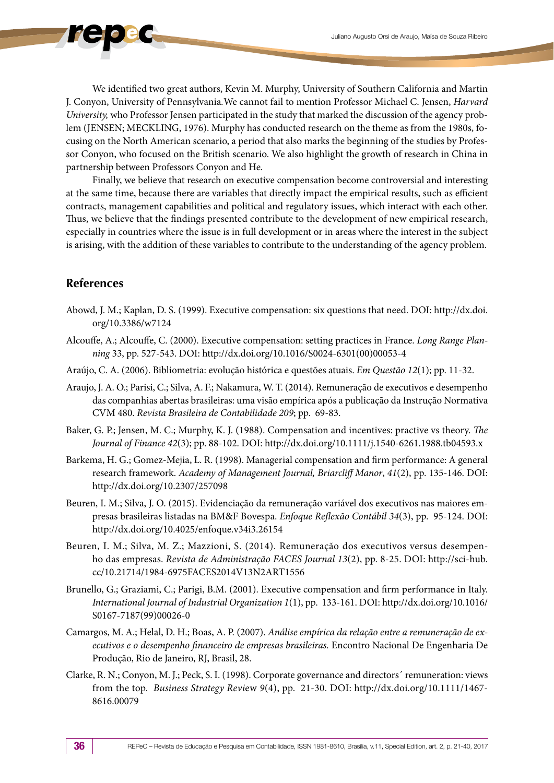We identified two great authors, Kevin M. Murphy, University of Southern California and Martin J. Conyon, University of Pennsylvania*.*We cannot fail to mention Professor Michael C. Jensen, *Harvard University,* who Professor Jensen participated in the study that marked the discussion of the agency problem (JENSEN; MECKLING, 1976). Murphy has conducted research on the theme as from the 1980s, focusing on the North American scenario, a period that also marks the beginning of the studies by Professor Conyon, who focused on the British scenario. We also highlight the growth of research in China in partnership between Professors Conyon and He.

Finally, we believe that research on executive compensation become controversial and interesting at the same time, because there are variables that directly impact the empirical results, such as efficient contracts, management capabilities and political and regulatory issues, which interact with each other. Thus, we believe that the findings presented contribute to the development of new empirical research, especially in countries where the issue is in full development or in areas where the interest in the subject is arising, with the addition of these variables to contribute to the understanding of the agency problem.

# **References**

- Abowd, J. M.; Kaplan, D. S. (1999). Executive compensation: six questions that need. DOI: http://dx.doi. org/10.3386/w7124
- Alcouffe, A.; Alcouffe, C. (2000). Executive compensation: setting practices in France. *Long Range Planning* 33, pp. 527-543. DOI: http://dx.doi.org/10.1016/S0024-6301(00)00053-4
- Araújo, C. A. (2006). Bibliometria: evolução histórica e questões atuais. *Em Questão 12*(1); pp. 11-32.
- Araujo, J. A. O.; Parisi, C.; Silva, A. F.; Nakamura, W. T. (2014). Remuneração de executivos e desempenho das companhias abertas brasileiras: uma visão empírica após a publicação da Instrução Normativa CVM 480. *Revista Brasileira de Contabilidade 209*; pp. 69-83.
- Baker, G. P.; Jensen, M. C.; Murphy, K. J. (1988). Compensation and incentives: practive vs theory. *The Journal of Finance 42*(3); pp. 88-102. DOI: http://dx.doi.org/10.1111/j.1540-6261.1988.tb04593.x
- Barkema, H. G.; Gomez-Mejia, L. R. (1998). Managerial compensation and firm performance: A general research framework. *Academy of Management Journal, Briarcliff Manor*, *41*(2), pp. 135-146. DOI: http://dx.doi.org/10.2307/257098
- Beuren, I. M.; Silva, J. O. (2015). Evidenciação da remuneração variável dos executivos nas maiores empresas brasileiras listadas na BM&F Bovespa. *Enfoque Reflexão Contábil 34*(3), pp. 95-124. DOI: <http://dx.doi.org/10.4025/enfoque.v34i3.26154>
- Beuren, I. M.; Silva, M. Z.; Mazzioni, S. (2014). Remuneração dos executivos versus desempenho das empresas. *Revista de Administração FACES Journal 13*(2), pp. 8-25. DOI: [http://sci-hub.](http://sci-hub.cc/10.21714/1984-6975FACES2014V13N2ART1556) [cc/10.21714/1984-6975FACES2014V13N2ART1556](http://sci-hub.cc/10.21714/1984-6975FACES2014V13N2ART1556)
- Brunello, G.; Graziami, C.; Parigi, B.M. (2001). Executive compensation and firm performance in Italy. *International Journal of Industrial Organization 1*(1), pp. 133-161. DOI: http://dx.doi.org/10.1016/ S0167-7187(99)00026-0
- Camargos, M. A.; Helal, D. H.; Boas, A. P. (2007). *Análise empírica da relação entre a remuneração de executivos e o desempenho financeiro de empresas brasileiras.* Encontro Nacional De Engenharia De Produção, Rio de Janeiro, RJ, Brasil, 28.
- Clarke, R. N.; Conyon, M. J.; Peck, S. I. (1998). Corporate governance and directors´ remuneration: views from the top. *Business Strategy Revi*ew *9*(4), pp. 21-30. DOI: http://dx.doi.org/10.1111/1467- 8616.00079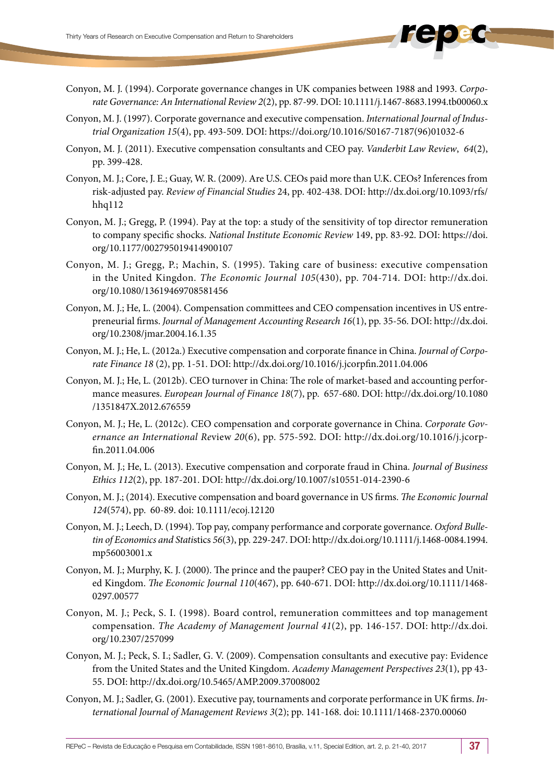- Conyon, M. J. (1994). Corporate governance changes in UK companies between 1988 and 1993. *Corporate Governance: An International Review 2*(2), pp. 87-99. DOI: 10.1111/j.1467-8683.1994.tb00060.x
- Conyon, M. J. (1997). Corporate governance and executive compensation. *International Journal of Industrial Organization 15*(4), pp. 493-509. DOI: https://doi.org/10.1016/S0167-7187(96)01032-6
- Conyon, M. J. (2011). Executive compensation consultants and CEO pay. *Vanderbit Law Review*, *64*(2), pp. 399-428.
- Conyon, M. J.; Core, J. E.; Guay, W. R. (2009). Are U.S. CEOs paid more than U.K. CEOs? Inferences from risk-adjusted pay. *Review of Financial Studies* 24, pp. 402-438. DOI: http://dx.doi.org/10.1093/rfs/ hhq112
- Conyon, M. J.; Gregg, P. (1994). Pay at the top: a study of the sensitivity of top director remuneration to company specific shocks. *National Institute Economic Review* 149, pp. 83-92. DOI: https://doi. org/10.1177/002795019414900107
- Conyon, M. J.; Gregg, P.; Machin, S. (1995). Taking care of business: executive compensation in the United Kingdon. *The Economic Journal 105*(430), pp. 704-714. DOI: http://dx.doi. org/10.1080/13619469708581456
- Conyon, M. J.; He, L. (2004). Compensation committees and CEO compensation incentives in US entrepreneurial firms. *Journal of Management Accounting Research 16*(1), pp. 35-56. DOI: http://dx.doi. org/10.2308/jmar.2004.16.1.35
- Conyon, M. J.; He, L. (2012a.) Executive compensation and corporate finance in China. *Journal of Corporate Finance 18* (2), pp. 1-51. DOI: <http://dx.doi.org/10.1016/j.jcorpfin.2011.04.006>
- Conyon, M. J.; He, L. (2012b). CEO turnover in China: The role of market-based and accounting performance measures. *European Journal of Finance 18*(7), pp. 657-680. DOI: http://dx.doi.org/10.1080 /1351847X.2012.676559
- Conyon, M. J.; He, L. (2012c). CEO compensation and corporate governance in China. *Corporate Governance an International Re*view *20*(6), pp. 575-592. DOI: http://dx.doi.org/10.1016/j.jcorpfin.2011.04.006
- Conyon, M. J.; He, L. (2013). Executive compensation and corporate fraud in China. *Journal of Business Ethics 112*(2), pp. 187-201. DOI: http://dx.doi.org/10.1007/s10551-014-2390-6
- Conyon, M. J.; (2014). Executive compensation and board governance in US firms. *The Economic Journal 124*(574), pp. 60-89. doi: 10.1111/ecoj.12120
- Conyon, M. J.; Leech, D. (1994). Top pay, company performance and corporate governance. *Oxford Bulletin of Economics and Stati*stics *56*(3), pp. 229-247. DOI: http://dx.doi.org/10.1111/j.1468-0084.1994. mp56003001.x
- Conyon, M. J.; Murphy, K. J. (2000). The prince and the pauper? CEO pay in the United States and United Kingdom. *The Economic Journal 110*(467), pp. 640-671. DOI: http://dx.doi.org/10.1111/1468- 0297.00577
- Conyon, M. J.; Peck, S. I. (1998). Board control, remuneration committees and top management compensation. *The Academy of Management Journal 41*(2), pp. 146-157. DOI: http://dx.doi. org/10.2307/257099
- Conyon, M. J.; Peck, S. I.; Sadler, G. V. (2009). Compensation consultants and executive pay: Evidence from the United States and the United Kingdom. *Academy Management Perspectives 23*(1), pp 43- 55. DOI: http://dx.doi.org/10.5465/AMP.2009.37008002
- Conyon, M. J.; Sadler, G. (2001). Executive pay, tournaments and corporate performance in UK firms. *International Journal of Management Reviews 3*(2); pp. 141-168. doi: 10.1111/1468-2370.00060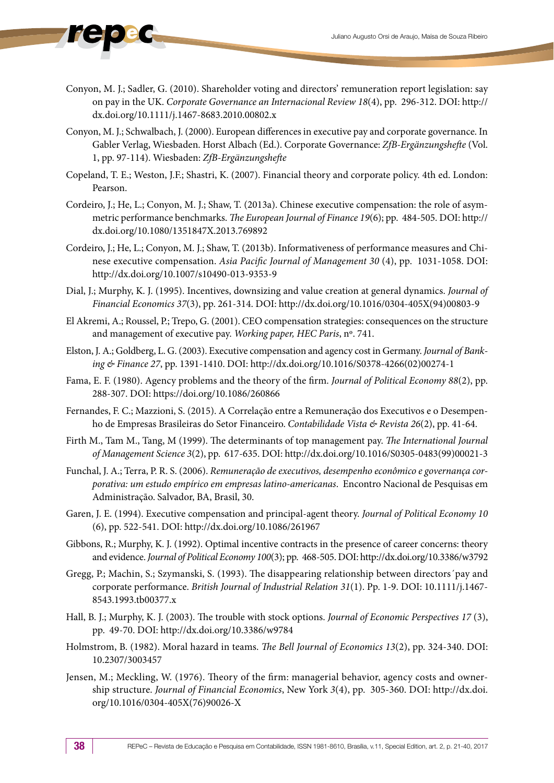- Conyon, M. J.; Sadler, G. (2010). Shareholder voting and directors' remuneration report legislation: say on pay in the UK. *Corporate Governance an Internacional Review 18*(4), pp. 296-312. DOI: http:// dx.doi.org/10.1111/j.1467-8683.2010.00802.x
- Conyon, M. J.; Schwalbach, J. (2000). European differences in executive pay and corporate governance. In Gabler Verlag, Wiesbaden. Horst Albach (Ed.). Corporate Governance: *ZfB-Ergänzungshefte* (Vol. 1, pp. 97-114). Wiesbaden: *ZfB-Ergänzungshefte*
- Copeland, T. E.; Weston, J.F.; Shastri, K. (2007). Financial theory and corporate policy. 4th ed. London: Pearson.
- Cordeiro, J.; He, L.; Conyon, M. J.; Shaw, T. (2013a). Chinese executive compensation: the role of asymmetric performance benchmarks. *The European Journal of Finance 19*(6); pp. 484-505. DOI: http:// dx.doi.org/10.1080/1351847X.2013.769892
- Cordeiro, J.; He, L.; Conyon, M. J.; Shaw, T. (2013b). Informativeness of performance measures and Chinese executive compensation. *Asia Pacific Journal of Management 30* (4), pp. 1031-1058. DOI: http://dx.doi.org/10.1007/s10490-013-9353-9
- Dial, J.; Murphy, K. J. (1995). Incentives, downsizing and value creation at general dynamics. *Journal of Financial Economics 37*(3), pp. 261-314. DOI: http://dx.doi.org/10.1016/0304-405X(94)00803-9
- El Akremi, A.; Roussel, P.; Trepo, G. (2001). CEO compensation strategies: consequences on the structure and management of executive pay. *Working paper, HEC Paris*, nº. 741.
- Elston, J. A.; Goldberg, L. G. (2003). Executive compensation and agency cost in Germany. *Journal of Banking & Finance 27*, pp. 1391-1410. DOI: http://dx.doi.org/10.1016/S0378-4266(02)00274-1
- Fama, E. F. (1980). Agency problems and the theory of the firm. *Journal of Political Economy 88*(2), pp. 288-307. DOI: https://doi.org/10.1086/260866
- Fernandes, F. C.; Mazzioni, S. (2015). A Correlação entre a Remuneração dos Executivos e o Desempenho de Empresas Brasileiras do Setor Financeiro. *Contabilidade Vista & Revista 26*(2), pp. 41-64.
- Firth M., Tam M., Tang, M (1999). The determinants of top management pay. *The International Journal of Management Science 3*(2), pp. 617-635. DOI: http://dx.doi.org/10.1016/S0305-0483(99)00021-3
- Funchal, J. A.; Terra, P. R. S. (2006). *Remuneração de executivos, desempenho econômico e governança corporativa: um estudo empírico em empresas latino-americanas*. Encontro Nacional de Pesquisas em Administração. Salvador, BA, Brasil, 30.
- Garen, J. E. (1994). Executive compensation and principal-agent theory. *Journal of Political Economy 10* (6), pp. 522-541. DOI: http://dx.doi.org/10.1086/261967
- Gibbons, R.; Murphy, K. J. (1992). Optimal incentive contracts in the presence of career concerns: theory and evidence. *Journal of Political Economy 100*(3); pp. 468-505. DOI: http://dx.doi.org/10.3386/w3792
- Gregg, P.; Machin, S.; Szymanski, S. (1993). The disappearing relationship between directors´pay and corporate performance. *British Journal of Industrial Relation 31*(1). Pp. 1-9. DOI: 10.1111/j.1467- 8543.1993.tb00377.x
- Hall, B. J.; Murphy, K. J. (2003). The trouble with stock options. *Journal of Economic Perspectives 17* (3), pp. 49-70. DOI: http://dx.doi.org/10.3386/w9784
- Holmstrom, B. (1982). Moral hazard in teams. *The Bell Journal of Economics 13*(2), pp. 324-340. DOI: 10.2307/3003457
- Jensen, M.; Meckling, W. (1976). Theory of the firm: managerial behavior, agency costs and ownership structure. *Journal of Financial Economics*, New York *3*(4), pp. 305-360. DOI: http://dx.doi. org/10.1016/0304-405X(76)90026-X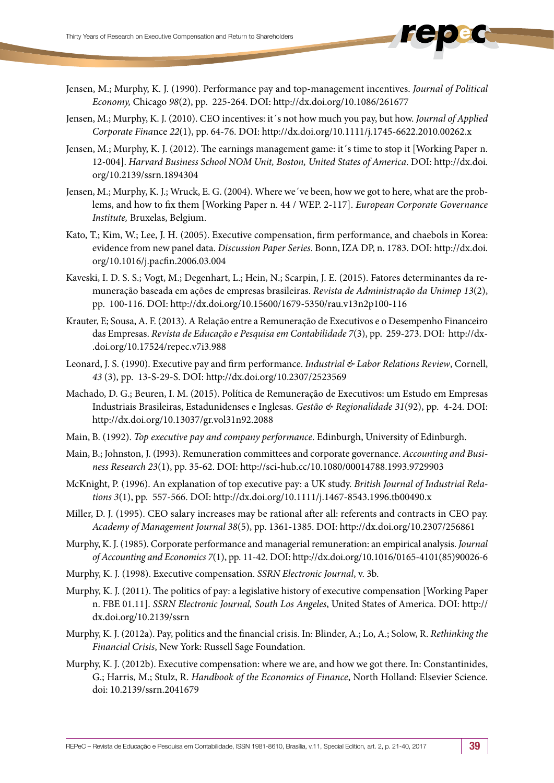- Jensen, M.; Murphy, K. J. (1990). Performance pay and top-management incentives. *Journal of Political Economy,* Chicago *98*(2), pp. 225-264. DOI: http://dx.doi.org/10.1086/261677
- Jensen, M.; Murphy, K. J. (2010). CEO incentives: it´s not how much you pay, but how. *Journal of Applied Corporate Fina*nce *22*(1), pp. 64-76. DOI: http://dx.doi.org/10.1111/j.1745-6622.2010.00262.x
- Jensen, M.; Murphy, K. J. (2012). The earnings management game: it´s time to stop it [Working Paper n. 12-004]. *Harvard Business School NOM Unit, Boston, United States of America*. DOI: http://dx.doi. org/10.2139/ssrn.1894304
- Jensen, M.; Murphy, K. J.; Wruck, E. G. (2004). Where we´ve been, how we got to here, what are the problems, and how to fix them [Working Paper n. 44 / WEP. 2-117]. *European Corporate Governance Institute,* Bruxelas, Belgium.
- Kato, T.; Kim, W.; Lee, J. H. (2005). Executive compensation, firm performance, and chaebols in Korea: evidence from new panel data. *Discussion Paper Series*. Bonn, IZA DP, n. 1783. DOI: http://dx.doi. org/10.1016/j.pacfin.2006.03.004
- Kaveski, I. D. S. S.; Vogt, M.; Degenhart, L.; Hein, N.; Scarpin, J. E. (2015). Fatores determinantes da remuneração baseada em ações de empresas brasileiras. *Revista de Administração da Unimep 13*(2), pp. 100-116. DOI:<http://dx.doi.org/10.15600/1679-5350/rau.v13n2p100-116>
- Krauter, E; Sousa, A. F. (2013). A Relação entre a Remuneração de Executivos e o Desempenho Financeiro das Empresas. *Revista de Educação e Pesquisa em Contabilidade 7*(3), pp. 259-273. DOI: http://dx- .doi.org/10.17524/repec.v7i3.988
- Leonard, J. S. (1990). Executive pay and firm performance. *Industrial & Labor Relations Review*, Cornell, *43* (3), pp. 13-S-29-S. DOI:<http://dx.doi.org/10.2307/2523569>
- Machado, D. G.; Beuren, I. M. (2015). Política de Remuneração de Executivos: um Estudo em Empresas Industriais Brasileiras, Estadunidenses e Inglesas. *Gestão & Regionalidade 31*(92), pp. 4-24. DOI: <http://dx.doi.org/10.13037/gr.vol31n92.2088>
- Main, B. (1992). *Top executive pay and company performance*. Edinburgh, University of Edinburgh.
- Main, B.; Johnston, J. (I993). Remuneration committees and corporate governance. *Accounting and Business Research 23*(1), pp. 35-62. DOI: http://sci-hub.cc/10.1080/00014788.1993.9729903
- McKnight, P. (1996). An explanation of top executive pay: a UK study. *British Journal of Industrial Relations 3*(1), pp. 557-566. DOI: http://dx.doi.org/10.1111/j.1467-8543.1996.tb00490.x
- Miller, D. J. (1995). CEO salary increases may be rational after all: referents and contracts in CEO pay. *Academy of Management Journal 38*(5), pp. 1361-1385. DOI: http://dx.doi.org/10.2307/256861
- Murphy, K. J. (1985). Corporate performance and managerial remuneration: an empirical analysis. *Journal of Accounting and Economics 7*(1), pp. 11-42. DOI: http://dx.doi.org/10.1016/0165-4101(85)90026-6
- Murphy, K. J. (1998). Executive compensation. *SSRN Electronic Journal*, v. 3b.
- Murphy, K. J. (2011). The politics of pay: a legislative history of executive compensation [Working Paper n. FBE 01.11]. *SSRN Electronic Journal, South Los Angeles*, United States of America. DOI: http:// dx.doi.org/10.2139/ssrn
- Murphy, K. J. (2012a). Pay, politics and the financial crisis. In: Blinder, A.; Lo, A.; Solow, R. *Rethinking the Financial Crisis*, New York: Russell Sage Foundation.
- Murphy, K. J. (2012b). Executive compensation: where we are, and how we got there. In: Constantinides, G.; Harris, M.; Stulz, R. *Handbook of the Economics of Finance*, North Holland: Elsevier Science. doi: 10.2139/ssrn.2041679